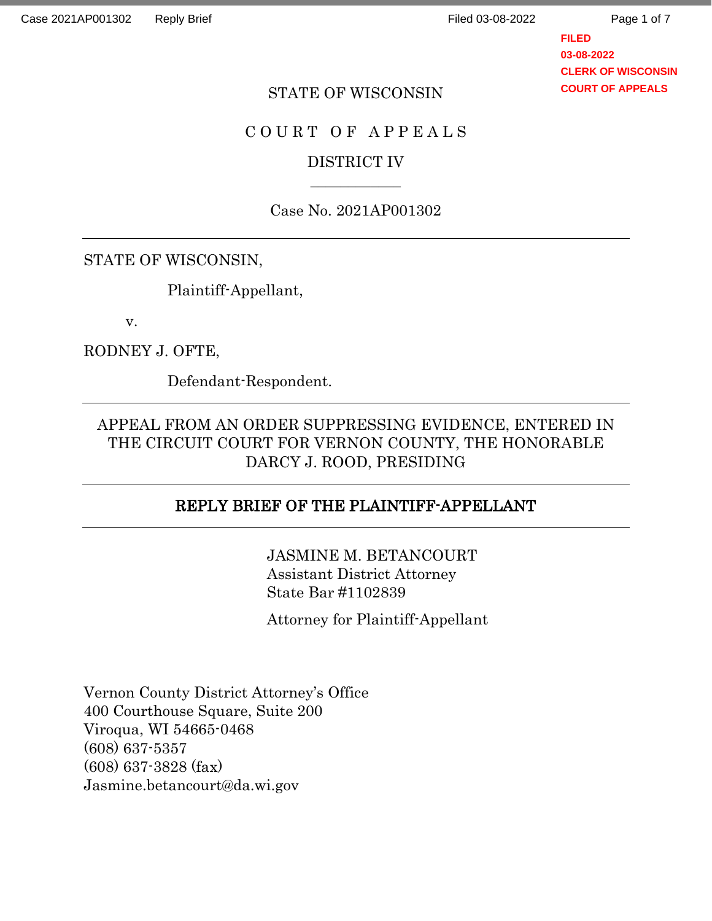Page 1 of 7

**FILED 03-08-2022 CLERK OF WISCONSIN COURT OF APPEALS**

### STATE OF WISCONSIN

### C O U R T O F A P P E A L S

## DISTRICT IV  $\overline{\phantom{a}}$

### Case No. 2021AP001302

### STATE OF WISCONSIN,

Plaintiff-Appellant,

v.

### RODNEY J. OFTE,

Defendant-Respondent.

## APPEAL FROM AN ORDER SUPPRESSING EVIDENCE, ENTERED IN THE CIRCUIT COURT FOR VERNON COUNTY, THE HONORABLE DARCY J. ROOD, PRESIDING

## REPLY BRIEF OF THE PLAINTIFF-APPELLANT

JASMINE M. BETANCOURT Assistant District Attorney State Bar #1102839

Attorney for Plaintiff-Appellant

Vernon County District Attorney's Office 400 Courthouse Square, Suite 200 Viroqua, WI 54665-0468 (608) 637-5357 (608) 637-3828 (fax) Jasmine.betancourt@da.wi.gov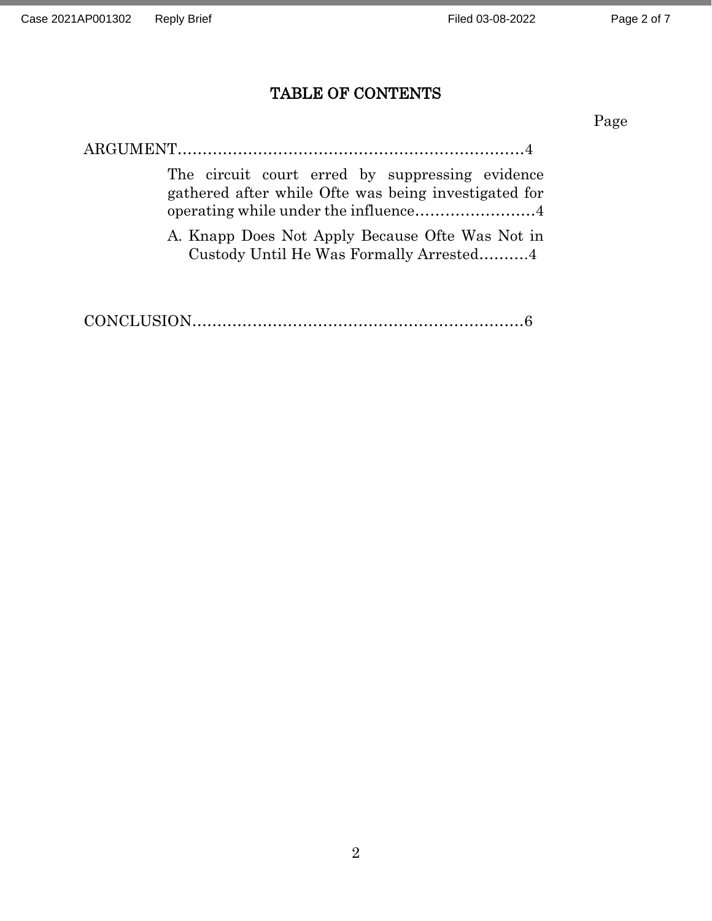# TABLE OF CONTENTS

Page

| The circuit court erred by suppressing evidence<br>gathered after while Ofte was being investigated for |
|---------------------------------------------------------------------------------------------------------|
| A. Knapp Does Not Apply Because Ofte Was Not in<br>Custody Until He Was Formally Arrested4              |

|--|--|--|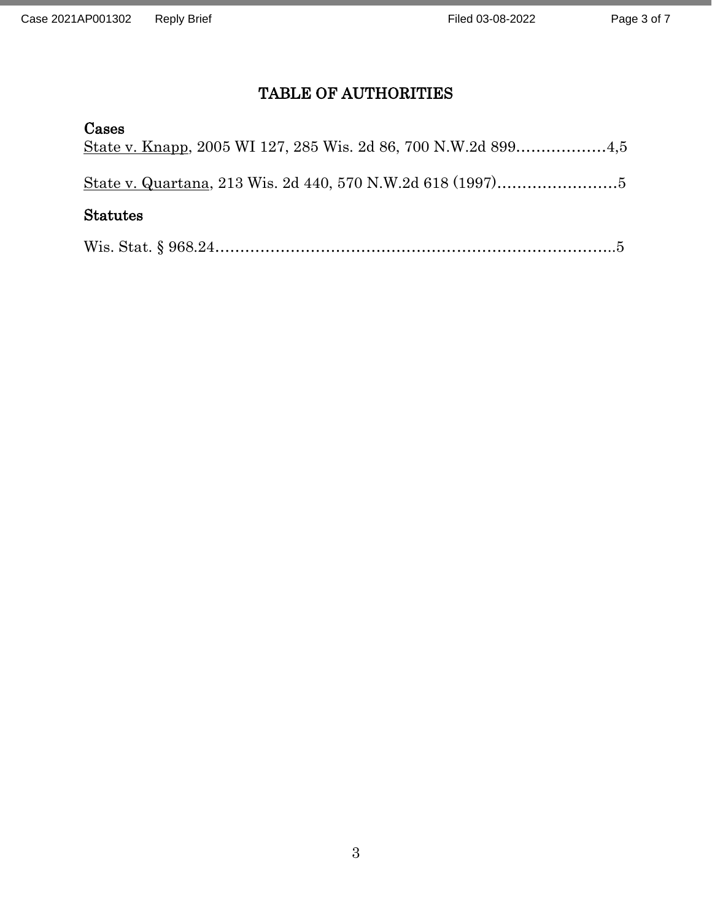# TABLE OF AUTHORITIES

### Cases

| <b>Statutes</b> |  |
|-----------------|--|

|--|--|--|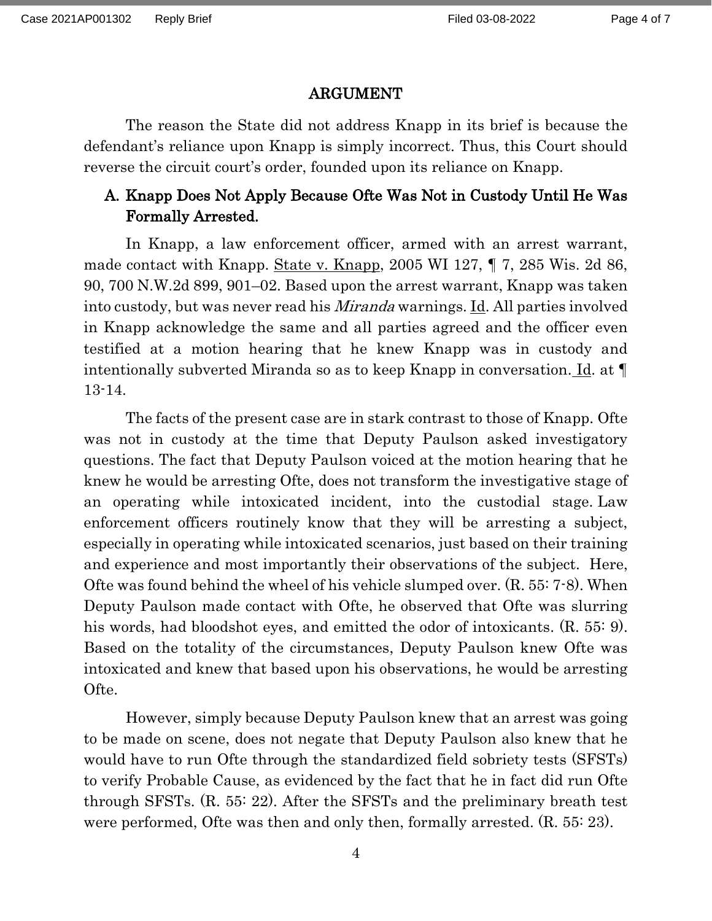### ARGUMENT

The reason the State did not address Knapp in its brief is because the defendant's reliance upon Knapp is simply incorrect. Thus, this Court should reverse the circuit court's order, founded upon its reliance on Knapp.

# A. Knapp Does Not Apply Because Ofte Was Not in Custody Until He Was Formally Arrested.

In Knapp, a law enforcement officer, armed with an arrest warrant, made contact with Knapp. State v. Knapp, 2005 WI 127, ¶ 7, 285 Wis. 2d 86, 90, 700 N.W.2d 899, 901–02. Based upon the arrest warrant, Knapp was taken into custody, but was never read his Miranda warnings. Id. All parties involved in Knapp acknowledge the same and all parties agreed and the officer even testified at a motion hearing that he knew Knapp was in custody and intentionally subverted Miranda so as to keep Knapp in conversation. Id. at ¶ 13-14.

The facts of the present case are in stark contrast to those of Knapp. Ofte was not in custody at the time that Deputy Paulson asked investigatory questions. The fact that Deputy Paulson voiced at the motion hearing that he knew he would be arresting Ofte, does not transform the investigative stage of an operating while intoxicated incident, into the custodial stage. Law enforcement officers routinely know that they will be arresting a subject, especially in operating while intoxicated scenarios, just based on their training and experience and most importantly their observations of the subject. Here, Ofte was found behind the wheel of his vehicle slumped over. (R. 55: 7-8). When Deputy Paulson made contact with Ofte, he observed that Ofte was slurring his words, had bloodshot eyes, and emitted the odor of intoxicants. (R. 55: 9). Based on the totality of the circumstances, Deputy Paulson knew Ofte was intoxicated and knew that based upon his observations, he would be arresting Ofte.

However, simply because Deputy Paulson knew that an arrest was going to be made on scene, does not negate that Deputy Paulson also knew that he would have to run Ofte through the standardized field sobriety tests (SFSTs) to verify Probable Cause, as evidenced by the fact that he in fact did run Ofte through SFSTs. (R. 55: 22). After the SFSTs and the preliminary breath test were performed, Ofte was then and only then, formally arrested. (R. 55: 23).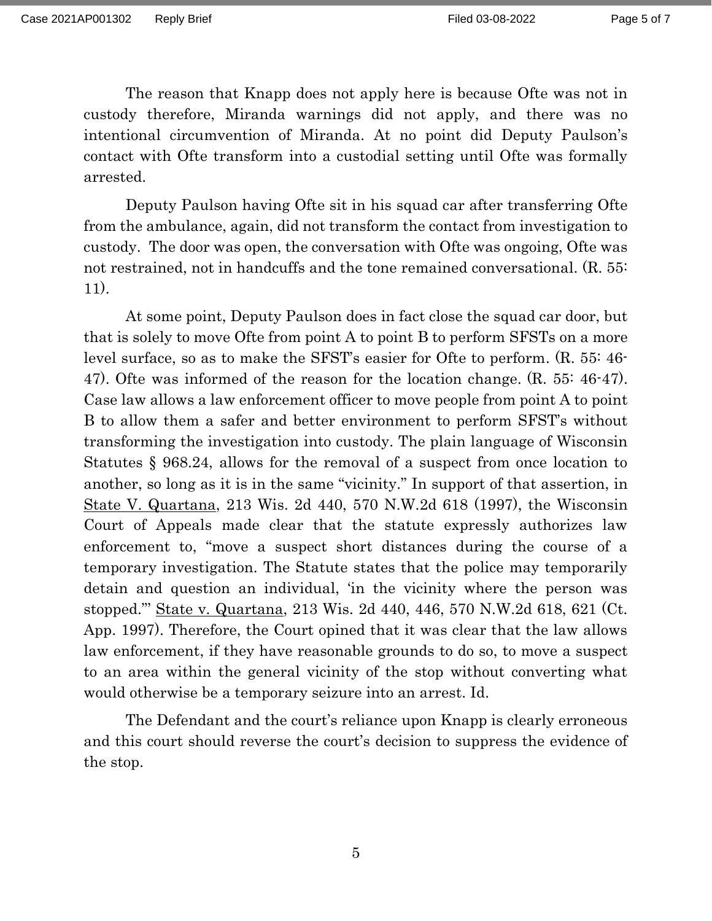The reason that Knapp does not apply here is because Ofte was not in custody therefore, Miranda warnings did not apply, and there was no intentional circumvention of Miranda. At no point did Deputy Paulson's contact with Ofte transform into a custodial setting until Ofte was formally arrested.

Deputy Paulson having Ofte sit in his squad car after transferring Ofte from the ambulance, again, did not transform the contact from investigation to custody. The door was open, the conversation with Ofte was ongoing, Ofte was not restrained, not in handcuffs and the tone remained conversational. (R. 55: 11).

At some point, Deputy Paulson does in fact close the squad car door, but that is solely to move Ofte from point A to point B to perform SFSTs on a more level surface, so as to make the SFST's easier for Ofte to perform. (R. 55: 46- 47). Ofte was informed of the reason for the location change. (R. 55: 46-47). Case law allows a law enforcement officer to move people from point A to point B to allow them a safer and better environment to perform SFST's without transforming the investigation into custody. The plain language of Wisconsin Statutes § 968.24, allows for the removal of a suspect from once location to another, so long as it is in the same "vicinity." In support of that assertion, in State V. Quartana, 213 Wis. 2d 440, 570 N.W.2d 618 (1997), the Wisconsin Court of Appeals made clear that the statute expressly authorizes law enforcement to, "move a suspect short distances during the course of a temporary investigation. The Statute states that the police may temporarily detain and question an individual, 'in the vicinity where the person was stopped."' State v. Quartana, 213 Wis. 2d 440, 446, 570 N.W.2d 618, 621 (Ct. App. 1997). Therefore, the Court opined that it was clear that the law allows law enforcement, if they have reasonable grounds to do so, to move a suspect to an area within the general vicinity of the stop without converting what would otherwise be a temporary seizure into an arrest. Id.

The Defendant and the court's reliance upon Knapp is clearly erroneous and this court should reverse the court's decision to suppress the evidence of the stop.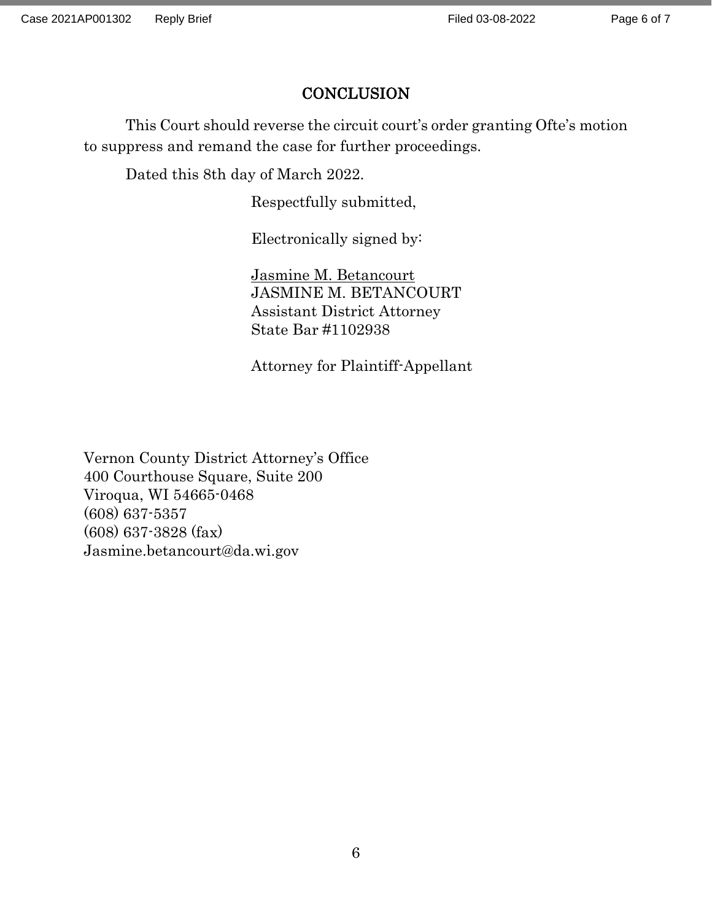## **CONCLUSION**

This Court should reverse the circuit court's order granting Ofte's motion to suppress and remand the case for further proceedings.

Dated this 8th day of March 2022.

Respectfully submitted,

Electronically signed by:

Jasmine M. Betancourt JASMINE M. BETANCOURT Assistant District Attorney State Bar #1102938

Attorney for Plaintiff-Appellant

Vernon County District Attorney's Office 400 Courthouse Square, Suite 200 Viroqua, WI 54665-0468 (608) 637-5357 (608) 637-3828 (fax) Jasmine.betancourt@da.wi.gov